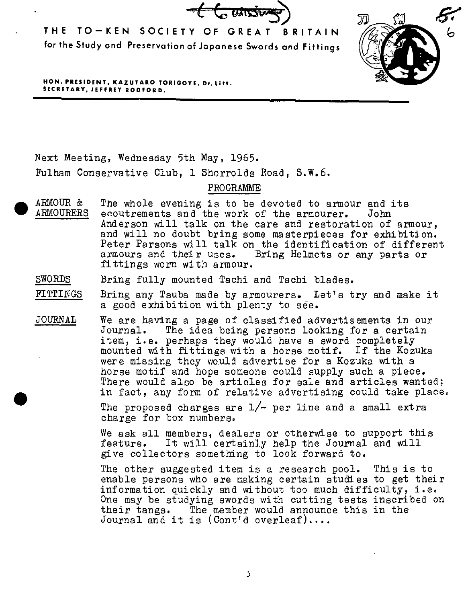$t$   $\left($   $\frac{1}{2}$   $\frac{1}{2}$   $\frac{1}{2}$   $\frac{1}{2}$ 

**THE TO-KEN SOCIETY OF GREAT BRITAIN for the Study and Preservation of Japanese Swords and Fittings** 



**HON. PRESIDENT, KAZUTARO TORIGOYE, Dr. Litt. SECRETARY, JEFFREY RODFORD.** 

Next Meeting, Wednesday 5th May, 1965.

•

Fulham Conservative Club, 1 Shorrolds Road, S.W.6.

PROGRAMME

- ARMOUR & ARMOURERS The whole evening is to be devoted to armour and its ecoutrements and the work of the armourer. John ecoutrements and the work of the armourer. Anderson will talk on the care and restoration of armour, and will no doubt bring some masterpieces for exhibition. Peter Parsons will talk on the identification of different<br>armours and their uses. Bring Helmets or any parts or Bring Helmets or any parts or fittings worn with armour.
- SWORDS Bring fully mounted Tachi and Tachi blades.
- FITTINGS Bring any Tsuba made by armourers. Let's try and make it a good exhibition with plenty to see.
- JOURNAL We are having a page of classified advertisements in our Journal. The idea being persons looking for a certain<br>item, i.e. perhaps they would have a sword completely mounted with fittings with a horse motif. If the Kozuka were missing they would advertise for a Kozuka with a horse motif and hope someone could supply such a piece. There would also be articles for sale and articles wanted; in fact, any form of relative advertising could take place.

The proposed charges are  $1/-$  per line and a small extra charge for box numbers.

We ask all members, dealers or otherwise to support this feature. It will certainly help the Journal and will give collectors something to look forward to.

The other suggested item is a research pool. This is to enable persons who are making certain studies to get their information quickly and without too much difficulty, i.e. One may be studying swords with cutting tests inscribed on their tangs. The member would announce this in the The member would announce this in the Journal and it is (Cont'd overleaf)....